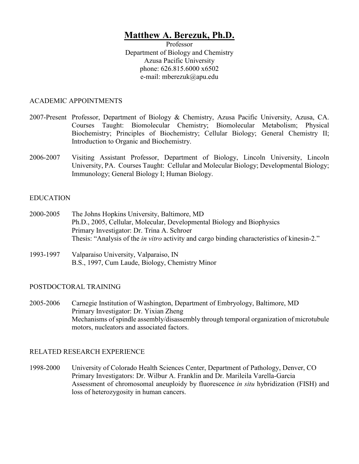# **Matthew A. Berezuk, Ph.D.**

Professor Department of Biology and Chemistry Azusa Pacific University phone: 626.815.6000 x6502 e-mail: mberezuk@apu.edu

#### ACADEMIC APPOINTMENTS

- 2007-Present Professor, Department of Biology & Chemistry, Azusa Pacific University, Azusa, CA. Courses Taught: Biomolecular Chemistry; Biomolecular Metabolism; Physical Biochemistry; Principles of Biochemistry; Cellular Biology; General Chemistry II; Introduction to Organic and Biochemistry.
- 2006-2007 Visiting Assistant Professor, Department of Biology, Lincoln University, Lincoln University, PA. Courses Taught: Cellular and Molecular Biology; Developmental Biology; Immunology; General Biology I; Human Biology.

#### EDUCATION

- 2000-2005 The Johns Hopkins University, Baltimore, MD Ph.D., 2005, Cellular, Molecular, Developmental Biology and Biophysics Primary Investigator: Dr. Trina A. Schroer Thesis: "Analysis of the *in vitro* activity and cargo binding characteristics of kinesin-2."
- 1993-1997 Valparaiso University, Valparaiso, IN B.S., 1997, Cum Laude, Biology, Chemistry Minor

#### POSTDOCTORAL TRAINING

2005-2006 Carnegie Institution of Washington, Department of Embryology, Baltimore, MD Primary Investigator: Dr. Yixian Zheng Mechanisms of spindle assembly/disassembly through temporal organization of microtubule motors, nucleators and associated factors.

#### RELATED RESEARCH EXPERIENCE

1998-2000 University of Colorado Health Sciences Center, Department of Pathology, Denver, CO Primary Investigators: Dr. Wilbur A. Franklin and Dr. Marileila Varella-Garcia Assessment of chromosomal aneuploidy by fluorescence *in situ* hybridization (FISH) and loss of heterozygosity in human cancers.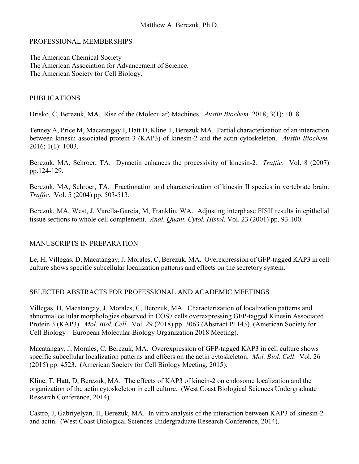#### PROFESSIONAL MEMBERSHIPS

The American Chemical Society The American Association for Advancement of Science. The American Society for Cell Biology.

## PUBLICATIONS

Drisko, C, Berezuk, MA. Rise of the (Molecular) Machines. *Austin Biochem.* 2018; 3(1): 1018.

Tenney A, Price M, Macatangay J, Hatt D, Kline T, Berezuk MA. Partial characterization of an interaction between kinesin associated protein 3 (KAP3) of kinesin-2 and the actin cytoskeleton. *Austin Biochem.* 2016; 1(1): 1003.

Berezuk, MA, Schroer, TA. Dynactin enhances the processivity of kinesin-2*. Traffic*. Vol. 8 (2007) pp.124-129.

Berezuk, MA, Schroer, TA. Fractionation and characterization of kinesin II species in vertebrate brain. *Traffic*. Vol. 5 (2004) pp. 503-513.

Berezuk, MA, West, J, Varella-Garcia, M, Franklin, WA. Adjusting interphase FISH results in epithelial tissue sections to whole cell complement. *Anal. Quant. Cytol. Histol*. Vol. 23 (2001) pp. 93-100.

## MANUSCRIPTS IN PREPARATION

Le, H, Villegas, D, Macatangay, J, Morales, C, Berezuk, MA. Overexpression of GFP-tagged KAP3 in cell culture shows specific subcellular localization patterns and effects on the secretory system.

## SELECTED ABSTRACTS FOR PROFESSIONAL AND ACADEMIC MEETINGS

Villegas, D, Macatangay, J, Morales, C, Berezuk, MA. Characterization of localization patterns and abnormal cellular morphologies observed in COS7 cells overexpressing GFP-tagged Kinesin Associated Protein 3 (KAP3). *Mol. Biol. Cell*. Vol. 29 (2018) pp. 3063 (Abstract P1143). (American Society for Cell Biology – European Molecular Biology Organization 2018 Meeting).

Macatangay, J, Morales, C, Berezuk, MA. Overexpression of GFP-tagged KAP3 in cell culture shows specific subcellular localization patterns and effects on the actin cytoskeleton. *Mol. Biol. Cell*. Vol. 26 (2015) pp. 4523. (American Society for Cell Biology Meeting, 2015).

Kline, T, Hatt, D, Berezuk, MA. The effects of KAP3 of kinein-2 on endosome localization and the organization of the actin cytoskeleton in cell culture. (West Coast Biological Sciences Undergraduate Research Conference, 2014).

Castro, J, Gabriyelyan, H, Berezuk, MA. In vitro analysis of the interaction between KAP3 of kinesin-2 and actin. (West Coast Biological Sciences Undergraduate Research Conference, 2014).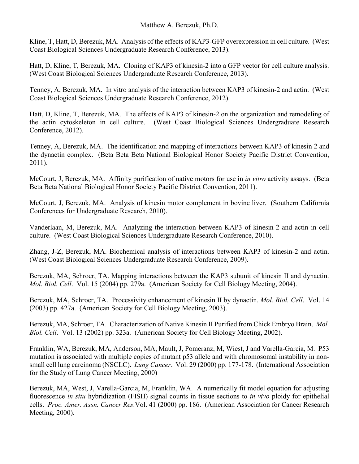## Matthew A. Berezuk, Ph.D.

Kline, T, Hatt, D, Berezuk, MA. Analysis of the effects of KAP3-GFP overexpression in cell culture. (West Coast Biological Sciences Undergraduate Research Conference, 2013).

Hatt, D, Kline, T, Berezuk, MA. Cloning of KAP3 of kinesin-2 into a GFP vector for cell culture analysis. (West Coast Biological Sciences Undergraduate Research Conference, 2013).

Tenney, A, Berezuk, MA. In vitro analysis of the interaction between KAP3 of kinesin-2 and actin. (West Coast Biological Sciences Undergraduate Research Conference, 2012).

Hatt, D, Kline, T, Berezuk, MA. The effects of KAP3 of kinesin-2 on the organization and remodeling of the actin cytoskeleton in cell culture. (West Coast Biological Sciences Undergraduate Research Conference, 2012).

Tenney, A, Berezuk, MA. The identification and mapping of interactions between KAP3 of kinesin 2 and the dynactin complex. (Beta Beta Beta National Biological Honor Society Pacific District Convention, 2011).

McCourt, J, Berezuk, MA. Affinity purification of native motors for use in *in vitro* activity assays. (Beta Beta Beta National Biological Honor Society Pacific District Convention, 2011).

McCourt, J, Berezuk, MA. Analysis of kinesin motor complement in bovine liver.(Southern California Conferences for Undergraduate Research, 2010).

Vanderlaan, M, Berezuk, MA. Analyzing the interaction between KAP3 of kinesin-2 and actin in cell culture. (West Coast Biological Sciences Undergraduate Research Conference, 2010).

Zhang, J-Z, Berezuk, MA. Biochemical analysis of interactions between KAP3 of kinesin-2 and actin. (West Coast Biological Sciences Undergraduate Research Conference, 2009).

Berezuk, MA, Schroer, TA. Mapping interactions between the KAP3 subunit of kinesin II and dynactin. *Mol. Biol. Cell*. Vol. 15 (2004) pp. 279a. (American Society for Cell Biology Meeting, 2004).

Berezuk, MA, Schroer, TA. Processivity enhancement of kinesin II by dynactin. *Mol. Biol. Cell*. Vol. 14 (2003) pp. 427a. (American Society for Cell Biology Meeting, 2003).

Berezuk, MA, Schroer, TA. Characterization of Native Kinesin II Purified from Chick Embryo Brain. *Mol. Biol. Cell*. Vol. 13 (2002) pp. 323a. (American Society for Cell Biology Meeting, 2002).

Franklin, WA, Berezuk, MA, Anderson, MA, Mault, J, Pomeranz, M, Wiest, J and Varella-Garcia, M. P53 mutation is associated with multiple copies of mutant p53 allele and with chromosomal instability in nonsmall cell lung carcinoma (NSCLC). *Lung Cancer*. Vol. 29 (2000) pp. 177-178. (International Association for the Study of Lung Cancer Meeting, 2000)

Berezuk, MA, West, J, Varella-Garcia, M, Franklin, WA. A numerically fit model equation for adjusting fluorescence *in situ* hybridization (FISH) signal counts in tissue sections to *in vivo* ploidy for epithelial cells. *Proc. Amer. Assn. Cancer Res*.Vol. 41 (2000) pp. 186. (American Association for Cancer Research Meeting, 2000).